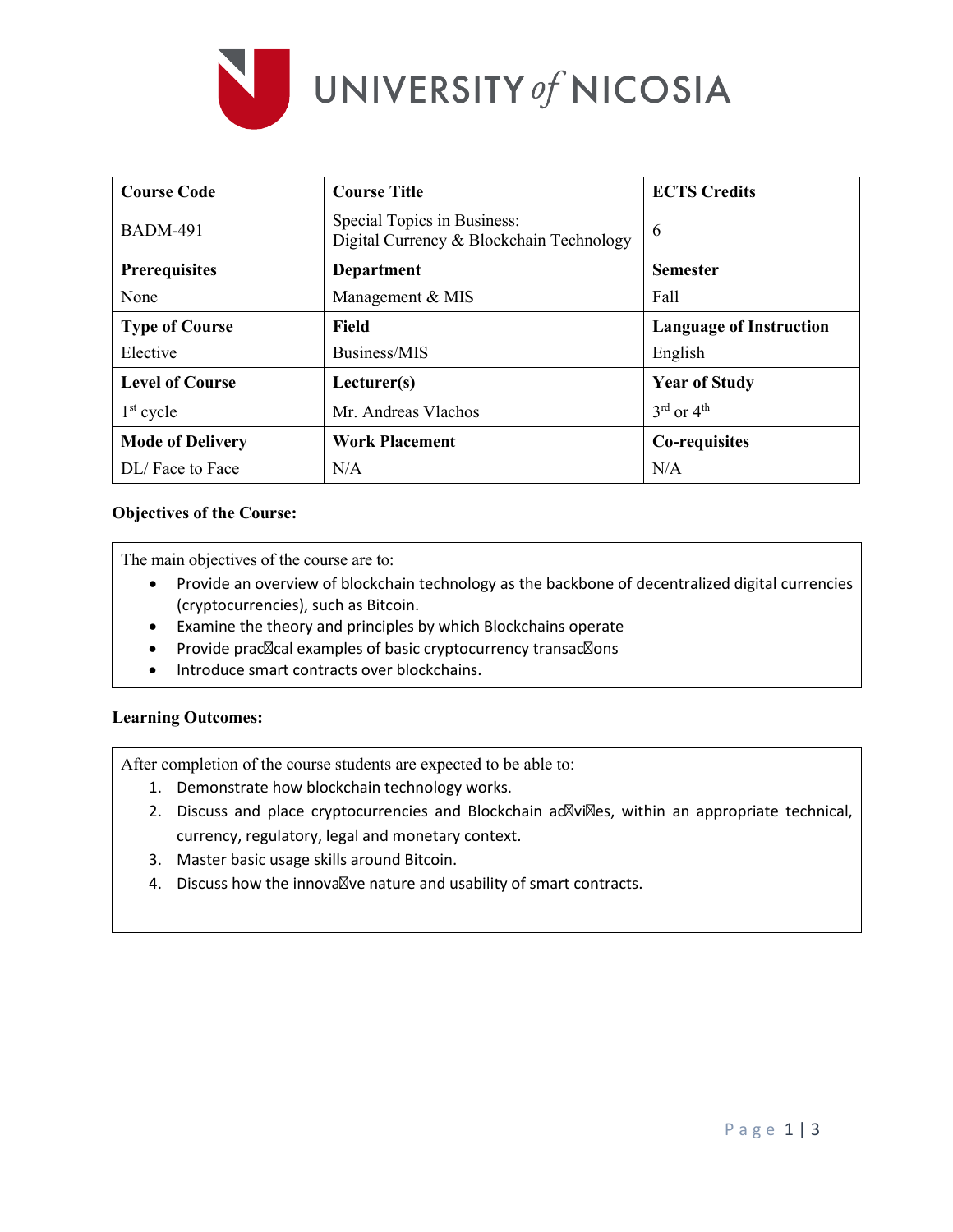

| <b>Course Code</b>      | <b>Course Title</b>                                                     | <b>ECTS Credits</b>                |
|-------------------------|-------------------------------------------------------------------------|------------------------------------|
| <b>BADM-491</b>         | Special Topics in Business:<br>Digital Currency & Blockchain Technology | 6                                  |
| Prerequisites           | <b>Department</b>                                                       | <b>Semester</b>                    |
| None                    | Management & MIS                                                        | Fall                               |
| <b>Type of Course</b>   | Field                                                                   | <b>Language of Instruction</b>     |
| Elective                | Business/MIS                                                            | English                            |
| <b>Level of Course</b>  | Lecturer(s)                                                             | <b>Year of Study</b>               |
| $1st$ cycle             | Mr. Andreas Vlachos                                                     | $3^{\text{rd}}$ or $4^{\text{th}}$ |
| <b>Mode of Delivery</b> | <b>Work Placement</b>                                                   | Co-requisites                      |
| DL/Face to Face         | N/A                                                                     | N/A                                |

# **Objectives of the Course:**

The main objectives of the course are to:

- Provide an overview of blockchain technology as the backbone of decentralized digital currencies (cryptocurrencies), such as Bitcoin.
- Examine the theory and principles by which Blockchains operate
- Provide prac cal examples of basic cryptocurrency transac ons
- Introduce smart contracts over blockchains.

## **Learning Outcomes:**

After completion of the course students are expected to be able to:

- 1. Demonstrate how blockchain technology works.
- 2. Discuss and place cryptocurrencies and Blockchain ac vi es, within an appropriate technical, currency, regulatory, legal and monetary context.
- 3. Master basic usage skills around Bitcoin.
- 4. Discuss how the innova ve nature and usability of smart contracts.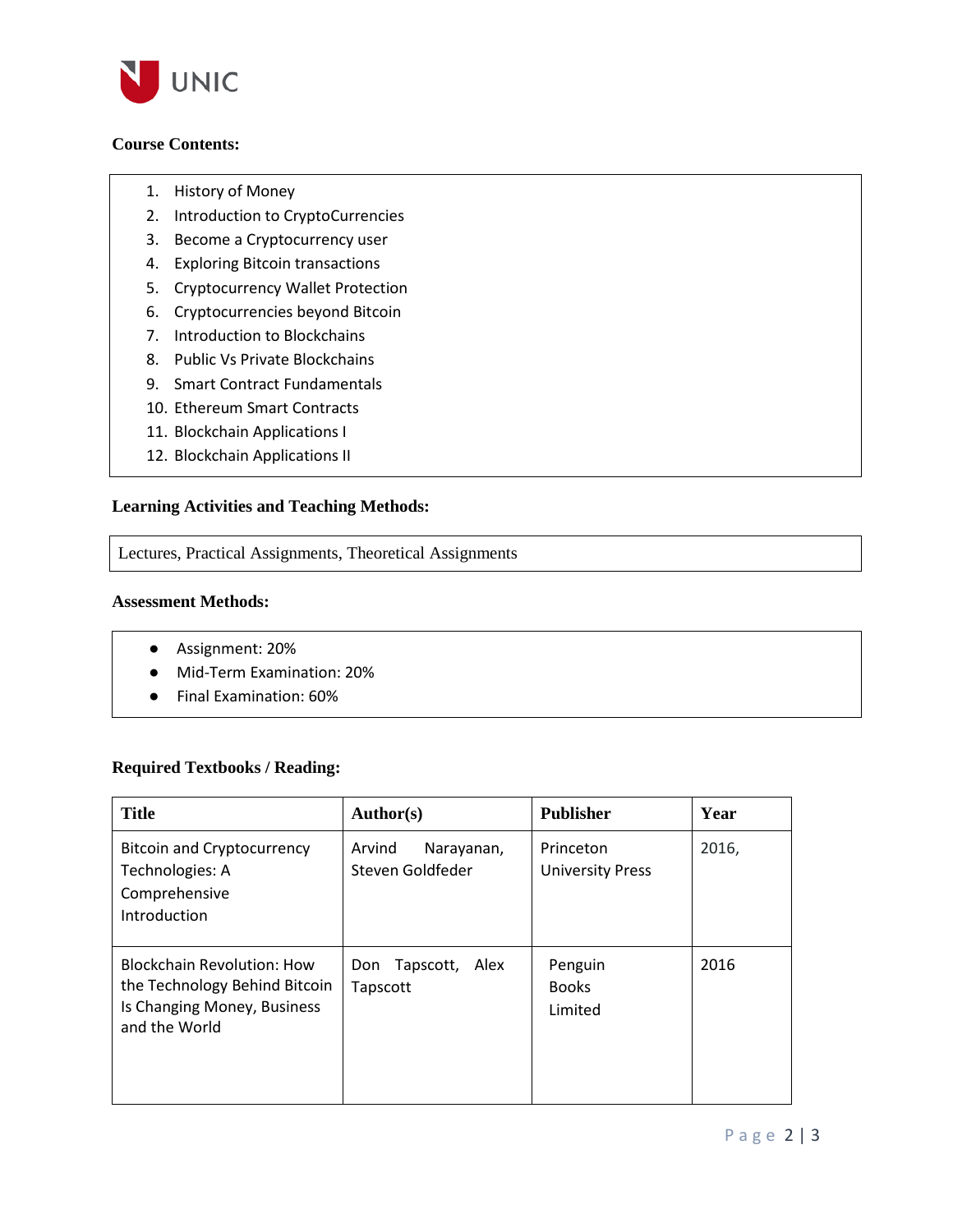

# **Course Contents:**

- 1. History of Money
- 2. Introduction to CryptoCurrencies
- 3. Become a Cryptocurrency user
- 4. Exploring Bitcoin transactions
- 5. Cryptocurrency Wallet Protection
- 6. Cryptocurrencies beyond Bitcoin
- 7. Introduction to Blockchains
- 8. Public Vs Private Blockchains
- 9. Smart Contract Fundamentals
- 10. Ethereum Smart Contracts
- 11. Blockchain Applications I
- 12. Blockchain Applications II

## **Learning Activities and Teaching Methods:**

Lectures, Practical Assignments, Theoretical Assignments

## **Assessment Methods:**

- Assignment: 20%
- Mid-Term Examination: 20%
- Final Examination: 60%

## **Required Textbooks / Reading:**

| <b>Title</b>                                                                                                       | Author(s)                                | <b>Publisher</b>                     | Year  |
|--------------------------------------------------------------------------------------------------------------------|------------------------------------------|--------------------------------------|-------|
| <b>Bitcoin and Cryptocurrency</b><br>Technologies: A<br>Comprehensive<br>Introduction                              | Arvind<br>Narayanan,<br>Steven Goldfeder | Princeton<br><b>University Press</b> | 2016, |
| <b>Blockchain Revolution: How</b><br>the Technology Behind Bitcoin<br>Is Changing Money, Business<br>and the World | Tapscott, Alex<br>Don<br>Tapscott        | Penguin<br><b>Books</b><br>Limited   | 2016  |